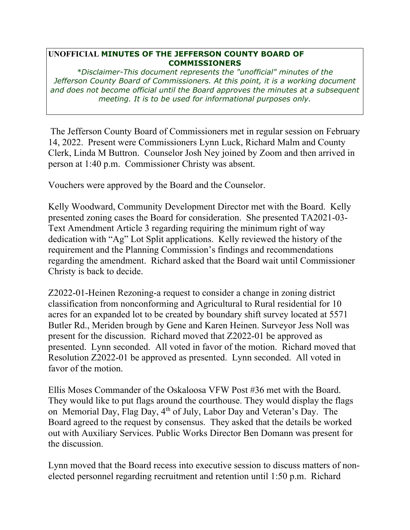## **UNOFFICIAL MINUTES OF THE JEFFERSON COUNTY BOARD OF COMMISSIONERS**

*\*Disclaimer-This document represents the "unofficial" minutes of the Jefferson County Board of Commissioners. At this point, it is a working document and does not become official until the Board approves the minutes at a subsequent meeting. It is to be used for informational purposes only.* 

 The Jefferson County Board of Commissioners met in regular session on February 14, 2022. Present were Commissioners Lynn Luck, Richard Malm and County Clerk, Linda M Buttron. Counselor Josh Ney joined by Zoom and then arrived in person at 1:40 p.m. Commissioner Christy was absent.

Vouchers were approved by the Board and the Counselor.

Kelly Woodward, Community Development Director met with the Board. Kelly presented zoning cases the Board for consideration. She presented TA2021-03- Text Amendment Article 3 regarding requiring the minimum right of way dedication with "Ag" Lot Split applications. Kelly reviewed the history of the requirement and the Planning Commission's findings and recommendations regarding the amendment. Richard asked that the Board wait until Commissioner Christy is back to decide.

Z2022-01-Heinen Rezoning-a request to consider a change in zoning district classification from nonconforming and Agricultural to Rural residential for 10 acres for an expanded lot to be created by boundary shift survey located at 5571 Butler Rd., Meriden brough by Gene and Karen Heinen. Surveyor Jess Noll was present for the discussion. Richard moved that Z2022-01 be approved as presented. Lynn seconded. All voted in favor of the motion. Richard moved that Resolution Z2022-01 be approved as presented. Lynn seconded. All voted in favor of the motion.

Ellis Moses Commander of the Oskaloosa VFW Post #36 met with the Board. They would like to put flags around the courthouse. They would display the flags on Memorial Day, Flag Day, 4th of July, Labor Day and Veteran's Day. The Board agreed to the request by consensus. They asked that the details be worked out with Auxiliary Services. Public Works Director Ben Domann was present for the discussion.

Lynn moved that the Board recess into executive session to discuss matters of nonelected personnel regarding recruitment and retention until 1:50 p.m. Richard